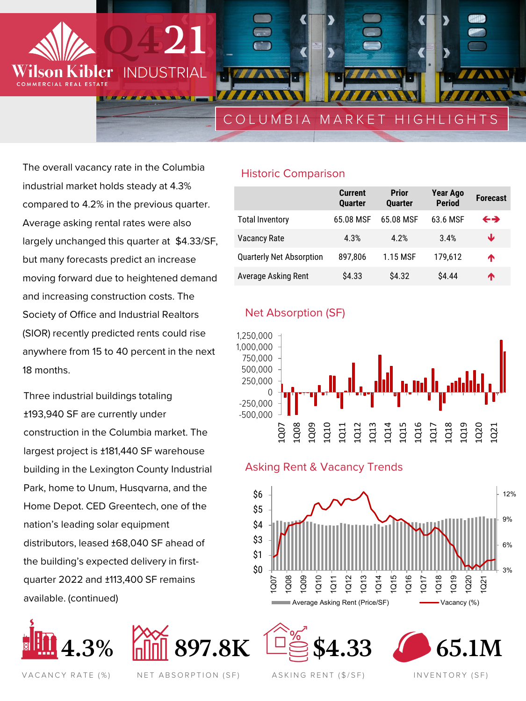INDUSTRIAL **WINDER** 

**Q421**

# COLUMBIA MARKET HIGHLIGHTS

The overall vacancy rate in the Columbia industrial market holds steady at 4.3% compared to 4.2% in the previous quarter. Average asking rental rates were also largely unchanged this quarter at \$4.33/SF, but many forecasts predict an increase moving forward due to heightened demand and increasing construction costs. The Society of Office and Industrial Realtors (SIOR) recently predicted rents could rise anywhere from 15 to 40 percent in the next 18 months.

vler

COMMERCIAL REAL ESTA

Three industrial buildings totaling ±193,940 SF are currently under construction in the Columbia market. The largest project is ±181,440 SF warehouse building in the Lexington County Industrial Park, home to Unum, Husqvarna, and the Home Depot. CED Greentech, one of the nation's leading solar equipment distributors, leased ±68,040 SF ahead of the building's expected delivery in firstquarter 2022 and ±113,400 SF remains available. (continued)





### Historic Comparison

|                                 | <b>Current</b><br><b>Quarter</b> | <b>Prior</b><br><b>Ouarter</b> | Year Ago<br><b>Period</b> | <b>Forecast</b>   |
|---------------------------------|----------------------------------|--------------------------------|---------------------------|-------------------|
| <b>Total Inventory</b>          | 65.08 MSF                        | 65.08 MSF                      | 63.6 MSF                  | $\leftrightarrow$ |
| <b>Vacancy Rate</b>             | 4.3%                             | 4.2%                           | 3.4%                      | ₩                 |
| <b>Quarterly Net Absorption</b> | 897.806                          | 1.15 MSF                       | 179.612                   | ♠                 |
| <b>Average Asking Rent</b>      | \$4.33                           | \$4.32                         | \$4.44                    | ́↑                |

### Net Absorption (SF)



### Asking Rent & Vacancy Trends







VACANCY RATE (%) NET ABSORPTION (SF) ASKING RENT (\$/SF) INVENTORY (SF)

ASKING RENT (\$/SF)

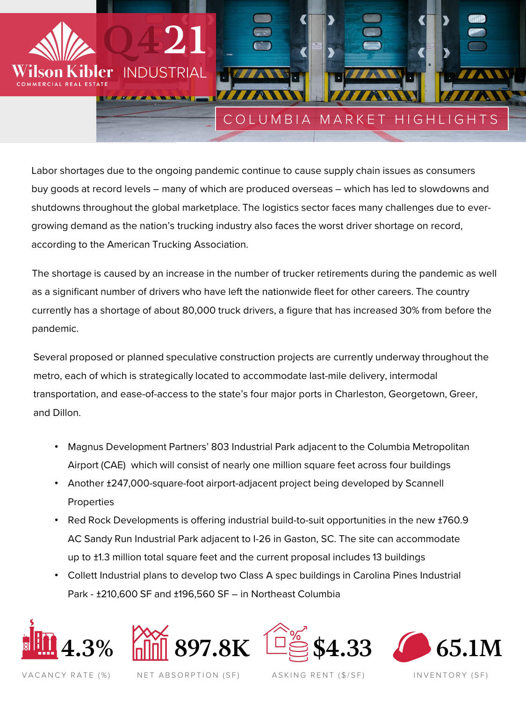

Labor shortages due to the ongoing pandemic continue to cause supply chain issues as consumers buy goods at record levels – many of which are produced overseas – which has led to slowdowns and shutdowns throughout the global marketplace. The logistics sector faces many challenges due to evergrowing demand as the nation's trucking industry also faces the worst driver shortage on record, according to the American Trucking Association.

The shortage is caused by an increase in the number of trucker retirements during the pandemic as well as a significant number of drivers who have left the nationwide fleet for other careers. The country currently has a shortage of about 80,000 truck drivers, a figure that has increased 30% from before the pandemic.

Several proposed or planned speculative construction projects are currently underway throughout the metro, each of which is strategically located to accommodate last-mile delivery, intermodal transportation, and ease-of-access to the state's four major ports in Charleston, Georgetown, Greer, and Dillon.

- Magnus Development Partners' 803 Industrial Park adjacent to the Columbia Metropolitan Airport (CAE) which will consist of nearly one million square feet across four buildings
- Another ±247,000-square-foot airport-adjacent project being developed by Scannell **Properties**
- Red Rock Developments is offering industrial build-to-suit opportunities in the new ±760.9 AC Sandy Run Industrial Park adjacent to I-26 in Gaston, SC. The site can accommodate up to ±1.3 million total square feet and the current proposal includes 13 buildings
- Collett Industrial plans to develop two Class A spec buildings in Carolina Pines Industrial Park - ±210,600 SF and ±196,560 SF – in Northeast Columbia









VACANCY RATE (%) NET ABSORPTION (SF) ASKING RENT (\$/SF) INVENTORY (SF) NET ABSORPTION (SF)

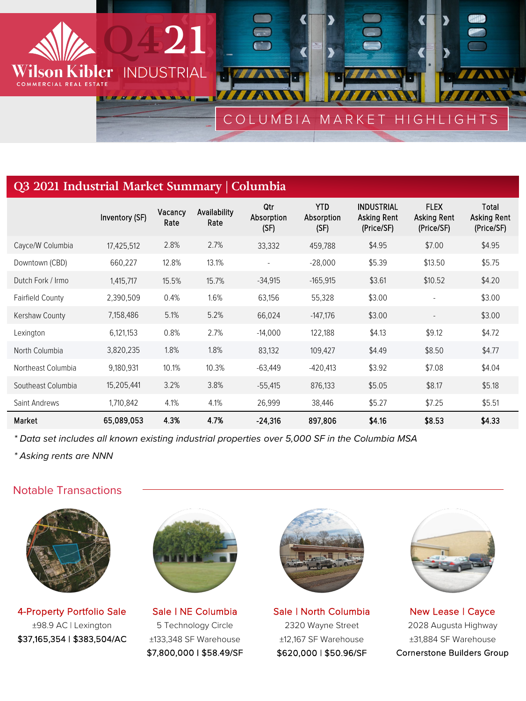

## **Q3 2021 Industrial Market Summary | Columbia**

|                         | Inventory (SF) | Vacancy<br>Rate | Availability<br>Rate | Qtr<br>Absorption<br>(SF) | <b>YTD</b><br>Absorption<br>(SF) | <b>INDUSTRIAL</b><br>Asking Rent<br>(Price/SF) | <b>FLEX</b><br>Asking Rent<br>(Price/SF) | Total<br>Asking Rent<br>(Price/SF) |
|-------------------------|----------------|-----------------|----------------------|---------------------------|----------------------------------|------------------------------------------------|------------------------------------------|------------------------------------|
| Cayce/W Columbia        | 17,425,512     | 2.8%            | 2.7%                 | 33,332                    | 459,788                          | \$4.95                                         | \$7.00                                   | \$4.95                             |
| Downtown (CBD)          | 660,227        | 12.8%           | 13.1%                | $\overline{\phantom{a}}$  | $-28,000$                        | \$5.39                                         | \$13.50                                  | \$5.75                             |
| Dutch Fork / Irmo       | 1,415,717      | 15.5%           | 15.7%                | $-34,915$                 | $-165,915$                       | \$3.61                                         | \$10.52                                  | \$4.20                             |
| <b>Fairfield County</b> | 2,390,509      | 0.4%            | 1.6%                 | 63,156                    | 55,328                           | \$3.00                                         | $\overline{\phantom{a}}$                 | \$3.00                             |
| Kershaw County          | 7,158,486      | 5.1%            | 5.2%                 | 66,024                    | $-147,176$                       | \$3.00                                         |                                          | \$3.00                             |
| Lexington               | 6,121,153      | 0.8%            | 2.7%                 | $-14,000$                 | 122,188                          | \$4.13                                         | \$9.12                                   | \$4.72                             |
| North Columbia          | 3,820,235      | 1.8%            | 1.8%                 | 83,132                    | 109,427                          | \$4.49                                         | \$8.50                                   | \$4.77                             |
| Northeast Columbia      | 9,180,931      | 10.1%           | 10.3%                | $-63,449$                 | $-420,413$                       | \$3.92                                         | \$7.08                                   | \$4.04                             |
| Southeast Columbia      | 15,205,441     | 3.2%            | 3.8%                 | $-55,415$                 | 876,133                          | \$5.05                                         | \$8.17                                   | \$5.18                             |
| Saint Andrews           | 1,710,842      | 4.1%            | 4.1%                 | 26,999                    | 38,446                           | \$5.27                                         | \$7.25                                   | \$5.51                             |
| Market                  | 65,089,053     | 4.3%            | 4.7%                 | $-24,316$                 | 897,806                          | \$4.16                                         | \$8.53                                   | \$4.33                             |

*\* Data set includes all known existing industrial properties over 5,000 SF in the Columbia MSA*

*\* Asking rents are NNN*

### Notable Transactions



4-Property Portfolio Sale ±98.9 AC | Lexington \$37,165,354 | \$383,504/AC



Sale | NE Columbia 5 Technology Circle ±133,348 SF Warehouse \$7,800,000 | \$58.49/SF



Sale | North Columbia 2320 Wayne Street ±12,167 SF Warehouse \$620,000 | \$50.96/SF



New Lease | Cayce 2028 Augusta Highway ±31,884 SF Warehouse Cornerstone Builders Group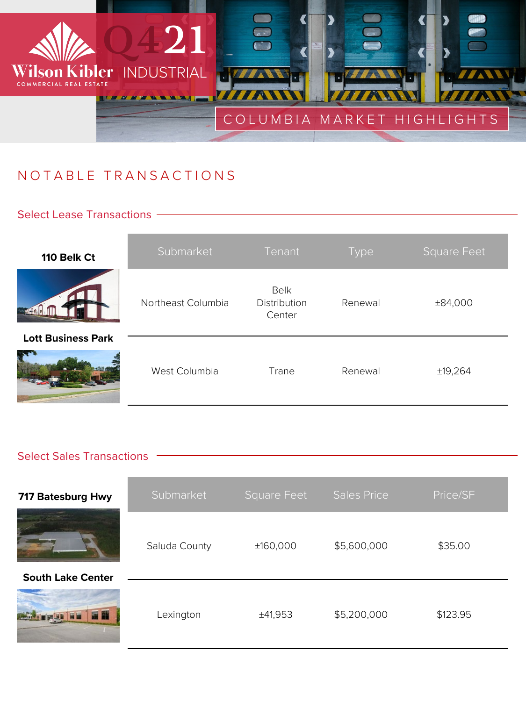

# NOTABLE TRANSACTIONS

### Select Lease Transactions -

| 110 Belk Ct               | Submarket          | Tenant                                | <b>Type</b> | <b>Square Feet</b> |
|---------------------------|--------------------|---------------------------------------|-------------|--------------------|
|                           | Northeast Columbia | <b>Belk</b><br>Distribution<br>Center | Renewal     | ±84,000            |
| <b>Lott Business Park</b> | West Columbia      | Trane                                 | Renewal     | ±19,264            |

### Select Sales Transactions -

| 717 Batesburg Hwy        | Submarket     | <b>Square Feet</b> | <b>Sales Price</b> | Price/SF |
|--------------------------|---------------|--------------------|--------------------|----------|
| <b>South Lake Center</b> | Saluda County | ±160,000           | \$5,600,000        | \$35.00  |
| 羅羅                       | Lexington     | ±41,953            | \$5,200,000        | \$123.95 |